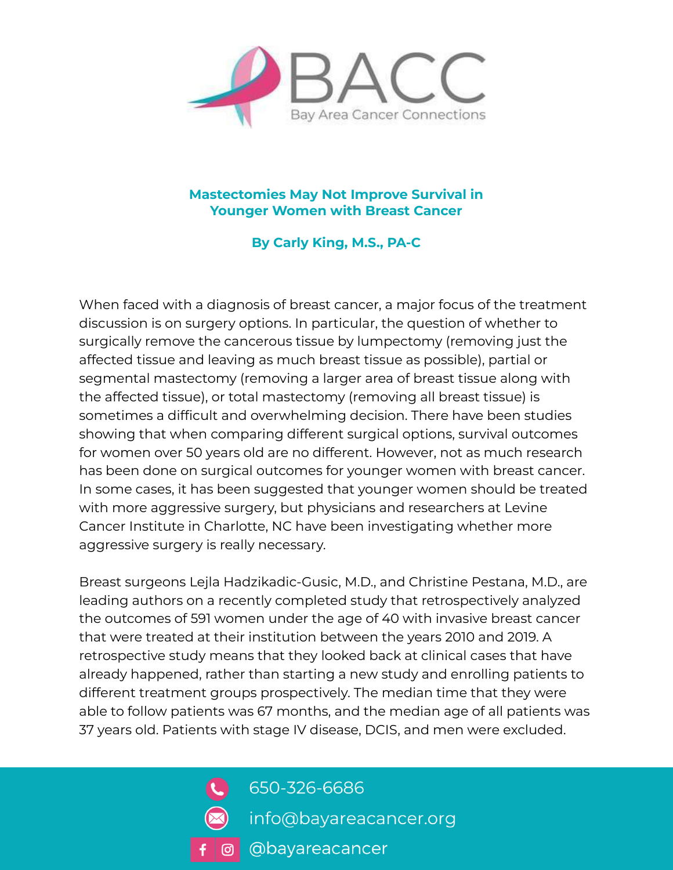

## **Mastectomies May Not Improve Survival in Younger Women with Breast Cancer**

**By Carly King, M.S., PA-C**

When faced with a diagnosis of breast cancer, a major focus of the treatment discussion is on surgery options. In particular, the question of whether to surgically remove the cancerous tissue by lumpectomy (removing just the affected tissue and leaving as much breast tissue as possible), partial or segmental mastectomy (removing a larger area of breast tissue along with the affected tissue), or total mastectomy (removing all breast tissue) is sometimes a difficult and overwhelming decision. There have been studies showing that when comparing different surgical options, survival outcomes for women over 50 years old are no different. However, not as much research has been done on surgical outcomes for younger women with breast cancer. In some cases, it has been suggested that younger women should be treated with more aggressive surgery, but physicians and researchers at Levine Cancer Institute in Charlotte, NC have been investigating whether more aggressive surgery is really necessary.

Breast surgeons Lejla Hadzikadic-Gusic, M.D., and Christine Pestana, M.D., are leading authors on a recently completed study that retrospectively analyzed the outcomes of 591 women under the age of 40 with invasive breast cancer that were treated at their institution between the years 2010 and 2019. A retrospective study means that they looked back at clinical cases that have already happened, rather than starting a new study and enrolling patients to different treatment groups prospectively. The median time that they were able to follow patients was 67 months, and the median age of all patients was 37 years old. Patients with stage IV disease, DCIS, and men were excluded.



650-326-6686

- info@bayareacancer.org
- o **Obayareacancer**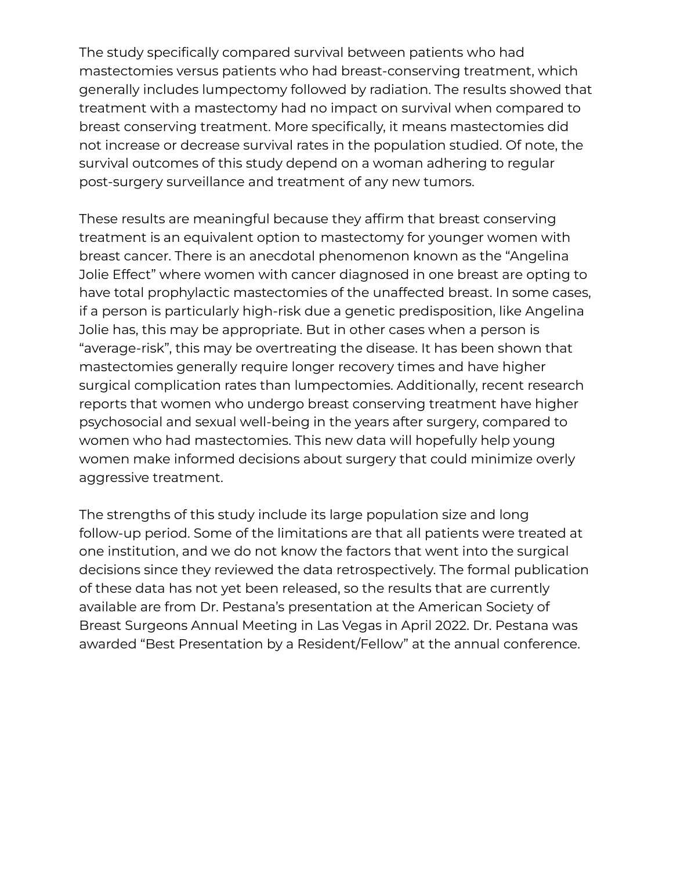The study specifically compared survival between patients who had mastectomies versus patients who had breast-conserving treatment, which generally includes lumpectomy followed by radiation. The results showed that treatment with a mastectomy had no impact on survival when compared to breast conserving treatment. More specifically, it means mastectomies did not increase or decrease survival rates in the population studied. Of note, the survival outcomes of this study depend on a woman adhering to regular post-surgery surveillance and treatment of any new tumors.

These results are meaningful because they affirm that breast conserving treatment is an equivalent option to mastectomy for younger women with breast cancer. There is an anecdotal phenomenon known as the "Angelina Jolie Effect" where women with cancer diagnosed in one breast are opting to have total prophylactic mastectomies of the unaffected breast. In some cases, if a person is particularly high-risk due a genetic predisposition, like Angelina Jolie has, this may be appropriate. But in other cases when a person is "average-risk", this may be overtreating the disease. It has been shown that mastectomies generally require longer recovery times and have higher surgical complication rates than lumpectomies. Additionally, recent research reports that women who undergo breast conserving treatment have higher psychosocial and sexual well-being in the years after surgery, compared to women who had mastectomies. This new data will hopefully help young women make informed decisions about surgery that could minimize overly aggressive treatment.

The strengths of this study include its large population size and long follow-up period. Some of the limitations are that all patients were treated at one institution, and we do not know the factors that went into the surgical decisions since they reviewed the data retrospectively. The formal publication of these data has not yet been released, so the results that are currently available are from Dr. Pestana's presentation at the American Society of Breast Surgeons Annual Meeting in Las Vegas in April 2022. Dr. Pestana was awarded "Best Presentation by a Resident/Fellow" at the annual conference.